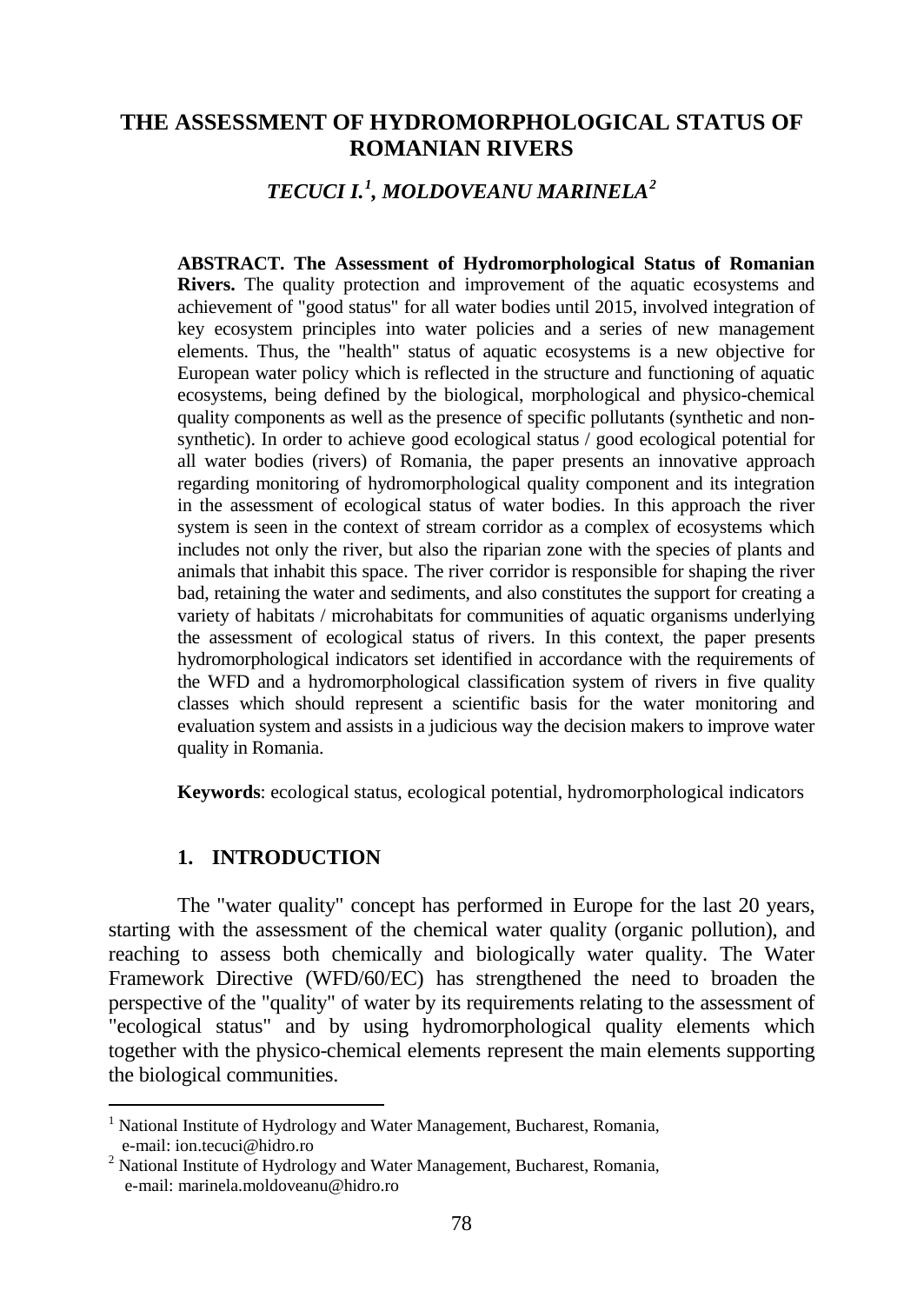# **THE ASSESSMENT OF HYDROMORPHOLOGICAL STATUS OF ROMANIAN RIVERS**

# *TECUCI I.[1](#page-0-0) , MOLDOVEANU MARINELA[2](#page-0-1)*

**ABSTRACT. The Assessment of Hydromorphological Status of Romanian Rivers.** The quality protection and improvement of the aquatic ecosystems and achievement of "good status" for all water bodies until 2015, involved integration of key ecosystem principles into water policies and a series of new management elements. Thus, the "health" status of aquatic ecosystems is a new objective for European water policy which is reflected in the structure and functioning of aquatic ecosystems, being defined by the biological, morphological and physico-chemical quality components as well as the presence of specific pollutants (synthetic and nonsynthetic). In order to achieve good ecological status / good ecological potential for all water bodies (rivers) of Romania, the paper presents an innovative approach regarding monitoring of hydromorphological quality component and its integration in the assessment of ecological status of water bodies. In this approach the river system is seen in the context of stream corridor as a complex of ecosystems which includes not only the river, but also the riparian zone with the species of plants and animals that inhabit this space. The river corridor is responsible for shaping the river bad, retaining the water and sediments, and also constitutes the support for creating a variety of habitats / microhabitats for communities of aquatic organisms underlying the assessment of ecological status of rivers. In this context, the paper presents hydromorphological indicators set identified in accordance with the requirements of the WFD and a hydromorphological classification system of rivers in five quality classes which should represent a scientific basis for the water monitoring and evaluation system and assists in a judicious way the decision makers to improve water quality in Romania.

**Keywords**: ecological status, ecological potential, hydromorphological indicators

#### **1. INTRODUCTION**

 $\overline{a}$ 

The "water quality" concept has performed in Europe for the last 20 years, starting with the assessment of the chemical water quality (organic pollution), and reaching to assess both chemically and biologically water quality. The Water Framework Directive (WFD/60/EC) has strengthened the need to broaden the perspective of the "quality" of water by its requirements relating to the assessment of "ecological status" and by using hydromorphological quality elements which together with the physico-chemical elements represent the main elements supporting the biological communities.

<span id="page-0-0"></span><sup>&</sup>lt;sup>1</sup> National Institute of Hydrology and Water Management, Bucharest, Romania, e-mail: ion.tecuci@hidro.ro 2 National Institute of Hydrology and Water Management, Bucharest, Romania,

<span id="page-0-1"></span>e-mail: marinela.moldoveanu@hidro.ro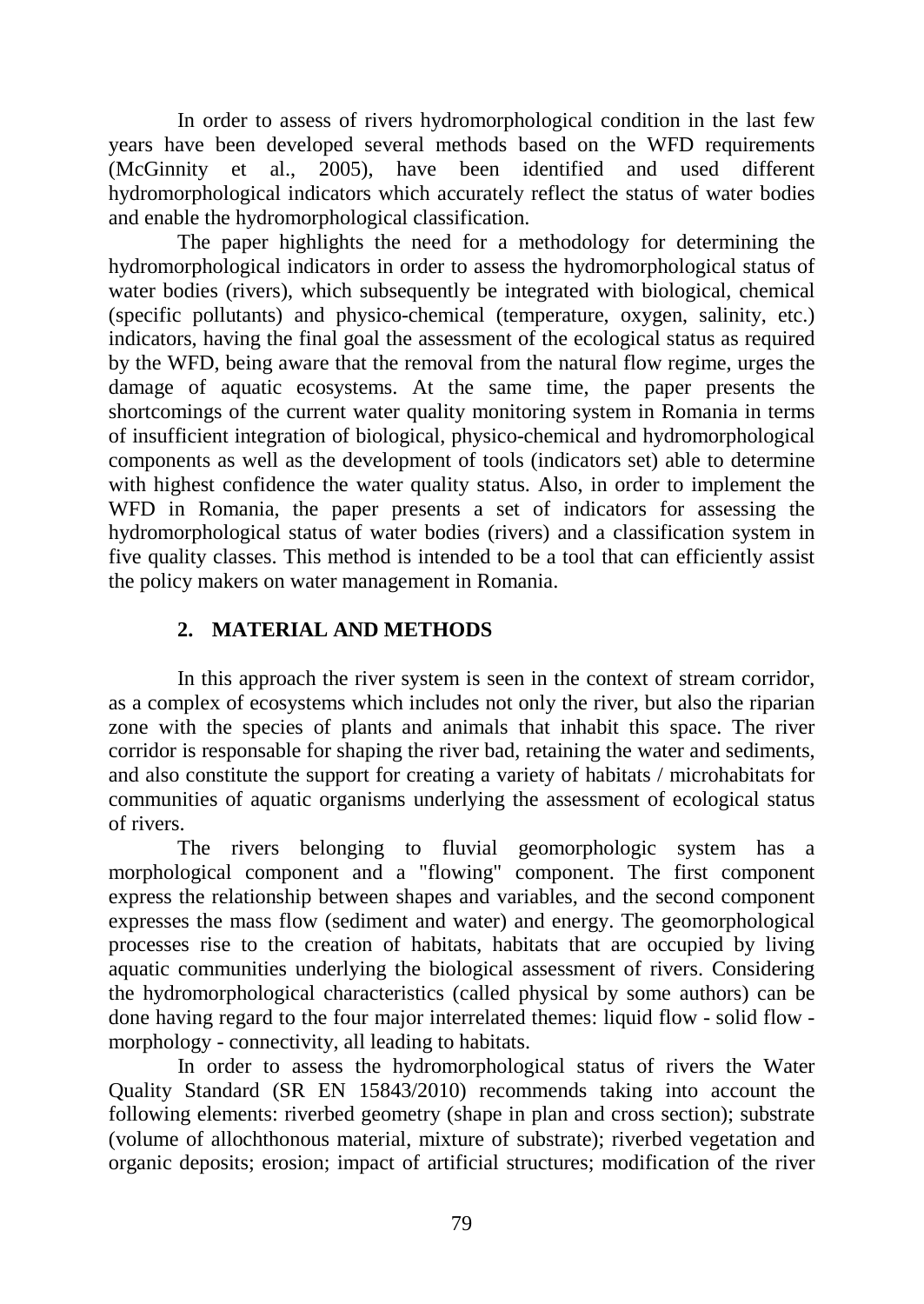In order to assess of rivers hydromorphological condition in the last few years have been developed several methods based on the WFD requirements (McGinnity et al., 2005), have been identified and used different hydromorphological indicators which accurately reflect the status of water bodies and enable the hydromorphological classification.

The paper highlights the need for a methodology for determining the hydromorphological indicators in order to assess the hydromorphological status of water bodies (rivers), which subsequently be integrated with biological, chemical (specific pollutants) and physico-chemical (temperature, oxygen, salinity, etc.) indicators, having the final goal the assessment of the ecological status as required by the WFD, being aware that the removal from the natural flow regime, urges the damage of aquatic ecosystems. At the same time, the paper presents the shortcomings of the current water quality monitoring system in Romania in terms of insufficient integration of biological, physico-chemical and hydromorphological components as well as the development of tools (indicators set) able to determine with highest confidence the water quality status. Also, in order to implement the WFD in Romania, the paper presents a set of indicators for assessing the hydromorphological status of water bodies (rivers) and a classification system in five quality classes. This method is intended to be a tool that can efficiently assist the policy makers on water management in Romania.

## **2. MATERIAL AND METHODS**

In this approach the river system is seen in the context of stream corridor, as a complex of ecosystems which includes not only the river, but also the riparian zone with the species of plants and animals that inhabit this space. The river corridor is responsable for shaping the river bad, retaining the water and sediments, and also constitute the support for creating a variety of habitats / microhabitats for communities of aquatic organisms underlying the assessment of ecological status of rivers.

The rivers belonging to fluvial geomorphologic system has a morphological component and a "flowing" component. The first component express the relationship between shapes and variables, and the second component expresses the mass flow (sediment and water) and energy. The geomorphological processes rise to the creation of habitats, habitats that are occupied by living aquatic communities underlying the biological assessment of rivers. Considering the hydromorphological characteristics (called physical by some authors) can be done having regard to the four major interrelated themes: liquid flow - solid flow morphology - connectivity, all leading to habitats.

In order to assess the hydromorphological status of rivers the Water Quality Standard (SR EN 15843/2010) recommends taking into account the following elements: riverbed geometry (shape in plan and cross section); substrate (volume of allochthonous material, mixture of substrate); riverbed vegetation and organic deposits; erosion; impact of artificial structures; modification of the river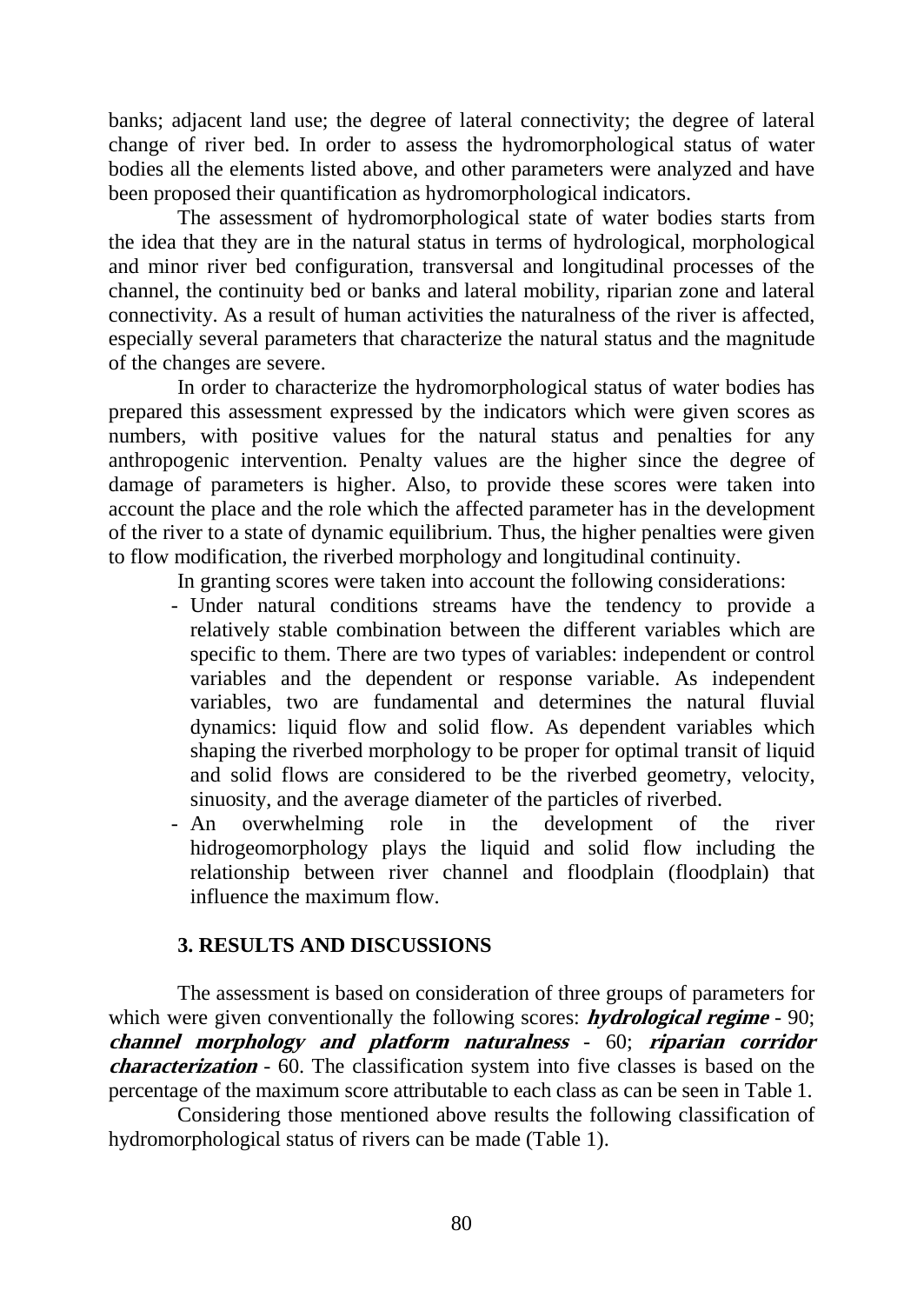banks; adjacent land use; the degree of lateral connectivity; the degree of lateral change of river bed. In order to assess the hydromorphological status of water bodies all the elements listed above, and other parameters were analyzed and have been proposed their quantification as hydromorphological indicators.

The assessment of hydromorphological state of water bodies starts from the idea that they are in the natural status in terms of hydrological, morphological and minor river bed configuration, transversal and longitudinal processes of the channel, the continuity bed or banks and lateral mobility, riparian zone and lateral connectivity. As a result of human activities the naturalness of the river is affected, especially several parameters that characterize the natural status and the magnitude of the changes are severe.

In order to characterize the hydromorphological status of water bodies has prepared this assessment expressed by the indicators which were given scores as numbers, with positive values for the natural status and penalties for any anthropogenic intervention. Penalty values are the higher since the degree of damage of parameters is higher. Also, to provide these scores were taken into account the place and the role which the affected parameter has in the development of the river to a state of dynamic equilibrium. Thus, the higher penalties were given to flow modification, the riverbed morphology and longitudinal continuity.

In granting scores were taken into account the following considerations:

- Under natural conditions streams have the tendency to provide a relatively stable combination between the different variables which are specific to them. There are two types of variables: independent or control variables and the dependent or response variable. As independent variables, two are fundamental and determines the natural fluvial dynamics: liquid flow and solid flow. As dependent variables which shaping the riverbed morphology to be proper for optimal transit of liquid and solid flows are considered to be the riverbed geometry, velocity, sinuosity, and the average diameter of the particles of riverbed.
- An overwhelming role in the development of the river hidrogeomorphology plays the liquid and solid flow including the relationship between river channel and floodplain (floodplain) that influence the maximum flow.

## **3. RESULTS AND DISCUSSIONS**

The assessment is based on consideration of three groups of parameters for which were given conventionally the following scores: **hydrological regime** - 90; **channel morphology and platform naturalness** - 60; **riparian corridor characterization** - 60. The classification system into five classes is based on the percentage of the maximum score attributable to each class as can be seen in Table 1.

Considering those mentioned above results the following classification of hydromorphological status of rivers can be made (Table 1).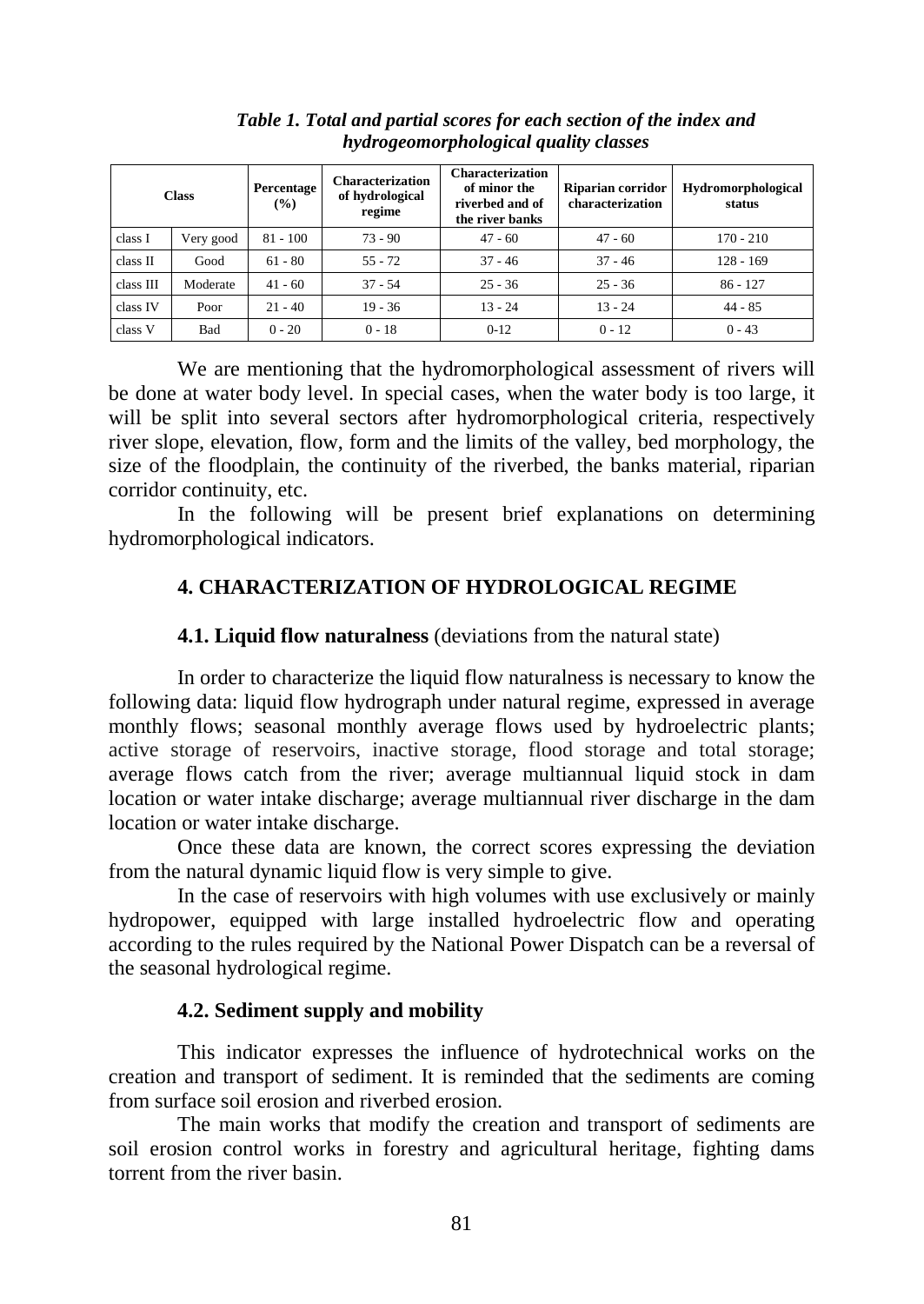| <b>Class</b> |           | Percentage<br>$($ %) | <b>Characterization</b><br>of hydrological<br>regime | <b>Characterization</b><br>of minor the<br>riverbed and of<br>the river banks | Riparian corridor<br>characterization | <b>Hydromorphological</b><br>status |
|--------------|-----------|----------------------|------------------------------------------------------|-------------------------------------------------------------------------------|---------------------------------------|-------------------------------------|
| class I      | Very good | $81 - 100$           | $73 - 90$                                            | $47 - 60$                                                                     | $47 - 60$                             | $170 - 210$                         |
| class II     | Good      | $61 - 80$            | $55 - 72$                                            | $37 - 46$                                                                     | $37 - 46$                             | $128 - 169$                         |
| class III    | Moderate  | $41 - 60$            | $37 - 54$                                            | $25 - 36$                                                                     | $25 - 36$                             | $86 - 127$                          |
| class IV     | Poor      | $21 - 40$            | $19 - 36$                                            | $13 - 24$                                                                     | $13 - 24$                             | $44 - 85$                           |
| class V      | Bad       | $0 - 20$             | $0 - 18$                                             | $0 - 12$                                                                      | $0 - 12$                              | $0 - 43$                            |

*Table 1. Total and partial scores for each section of the index and hydrogeomorphological quality classes*

We are mentioning that the hydromorphological assessment of rivers will be done at water body level. In special cases, when the water body is too large, it will be split into several sectors after hydromorphological criteria, respectively river slope, elevation, flow, form and the limits of the valley, bed morphology, the size of the floodplain, the continuity of the riverbed, the banks material, riparian corridor continuity, etc.

In the following will be present brief explanations on determining hydromorphological indicators.

# **4. CHARACTERIZATION OF HYDROLOGICAL REGIME**

### **4.1. Liquid flow naturalness** (deviations from the natural state)

In order to characterize the liquid flow naturalness is necessary to know the following data: liquid flow hydrograph under natural regime, expressed in average monthly flows; seasonal monthly average flows used by hydroelectric plants; active storage of reservoirs, inactive storage, flood storage and total storage; average flows catch from the river; average multiannual liquid stock in dam location or water intake discharge; average multiannual river discharge in the dam location or water intake discharge.

Once these data are known, the correct scores expressing the deviation from the natural dynamic liquid flow is very simple to give.

In the case of reservoirs with high volumes with use exclusively or mainly hydropower, equipped with large installed hydroelectric flow and operating according to the rules required by the National Power Dispatch can be a reversal of the seasonal hydrological regime.

## **4.2. Sediment supply and mobility**

This indicator expresses the influence of hydrotechnical works on the creation and transport of sediment. It is reminded that the sediments are coming from surface soil erosion and riverbed erosion.

The main works that modify the creation and transport of sediments are soil erosion control works in forestry and agricultural heritage, fighting dams torrent from the river basin.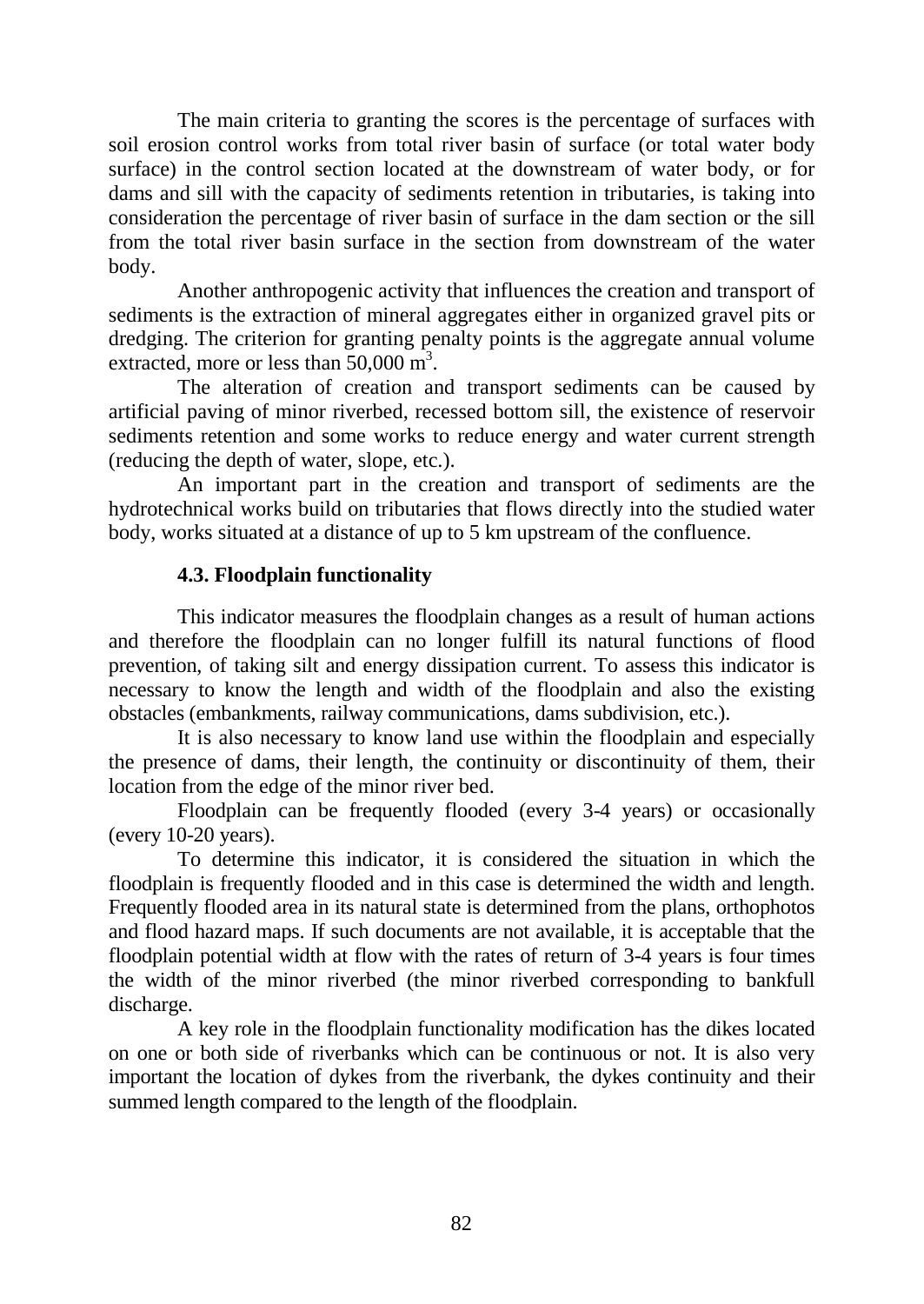The main criteria to granting the scores is the percentage of surfaces with soil erosion control works from total river basin of surface (or total water body surface) in the control section located at the downstream of water body, or for dams and sill with the capacity of sediments retention in tributaries, is taking into consideration the percentage of river basin of surface in the dam section or the sill from the total river basin surface in the section from downstream of the water body.

Another anthropogenic activity that influences the creation and transport of sediments is the extraction of mineral aggregates either in organized gravel pits or dredging. The criterion for granting penalty points is the aggregate annual volume extracted, more or less than  $50,000 \text{ m}^3$ .

The alteration of creation and transport sediments can be caused by artificial paving of minor riverbed, recessed bottom sill, the existence of reservoir sediments retention and some works to reduce energy and water current strength (reducing the depth of water, slope, etc.).

An important part in the creation and transport of sediments are the hydrotechnical works build on tributaries that flows directly into the studied water body, works situated at a distance of up to 5 km upstream of the confluence.

### **4.3. Floodplain functionality**

This indicator measures the floodplain changes as a result of human actions and therefore the floodplain can no longer fulfill its natural functions of flood prevention, of taking silt and energy dissipation current. To assess this indicator is necessary to know the length and width of the floodplain and also the existing obstacles (embankments, railway communications, dams subdivision, etc.).

It is also necessary to know land use within the floodplain and especially the presence of dams, their length, the continuity or discontinuity of them, their location from the edge of the minor river bed.

Floodplain can be frequently flooded (every 3-4 years) or occasionally (every 10-20 years).

To determine this indicator, it is considered the situation in which the floodplain is frequently flooded and in this case is determined the width and length. Frequently flooded area in its natural state is determined from the plans, orthophotos and flood hazard maps. If such documents are not available, it is acceptable that the floodplain potential width at flow with the rates of return of 3-4 years is four times the width of the minor riverbed (the minor riverbed corresponding to bankfull discharge.

A key role in the floodplain functionality modification has the dikes located on one or both side of riverbanks which can be continuous or not. It is also very important the location of dykes from the riverbank, the dykes continuity and their summed length compared to the length of the floodplain.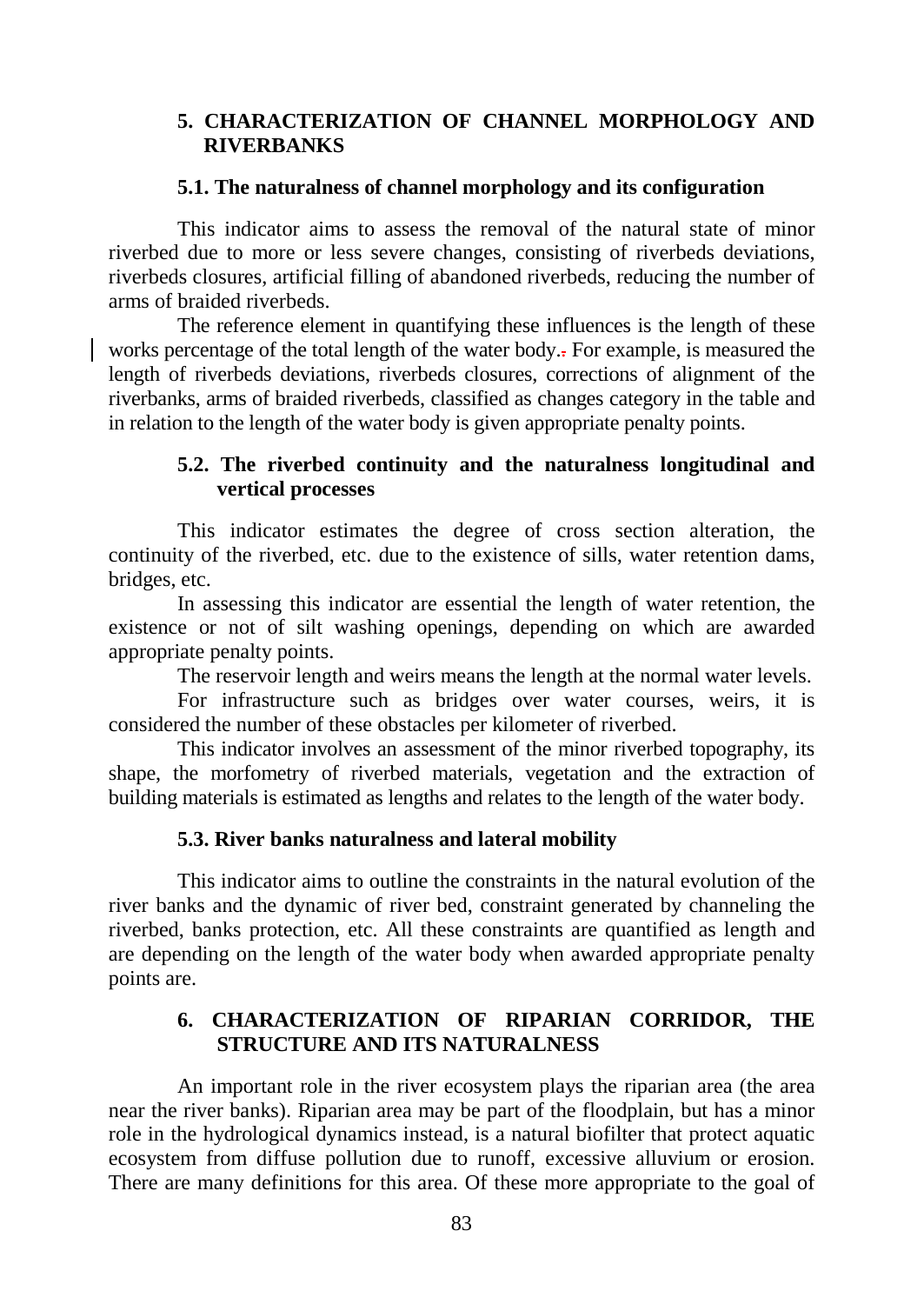### **5. CHARACTERIZATION OF CHANNEL MORPHOLOGY AND RIVERBANKS**

### **5.1. The naturalness of channel morphology and its configuration**

This indicator aims to assess the removal of the natural state of minor riverbed due to more or less severe changes, consisting of riverbeds deviations, riverbeds closures, artificial filling of abandoned riverbeds, reducing the number of arms of braided riverbeds.

The reference element in quantifying these influences is the length of these works percentage of the total length of the water body.. For example, is measured the length of riverbeds deviations, riverbeds closures, corrections of alignment of the riverbanks, arms of braided riverbeds, classified as changes category in the table and in relation to the length of the water body is given appropriate penalty points.

## **5.2. The riverbed continuity and the naturalness longitudinal and vertical processes**

This indicator estimates the degree of cross section alteration, the continuity of the riverbed, etc. due to the existence of sills, water retention dams, bridges, etc.

In assessing this indicator are essential the length of water retention, the existence or not of silt washing openings, depending on which are awarded appropriate penalty points.

The reservoir length and weirs means the length at the normal water levels.

For infrastructure such as bridges over water courses, weirs, it is considered the number of these obstacles per kilometer of riverbed.

This indicator involves an assessment of the minor riverbed topography, its shape, the morfometry of riverbed materials, vegetation and the extraction of building materials is estimated as lengths and relates to the length of the water body.

## **5.3. River banks naturalness and lateral mobility**

This indicator aims to outline the constraints in the natural evolution of the river banks and the dynamic of river bed, constraint generated by channeling the riverbed, banks protection, etc. All these constraints are quantified as length and are depending on the length of the water body when awarded appropriate penalty points are.

# **6. CHARACTERIZATION OF RIPARIAN CORRIDOR, THE STRUCTURE AND ITS NATURALNESS**

An important role in the river ecosystem plays the riparian area (the area near the river banks). Riparian area may be part of the floodplain, but has a minor role in the hydrological dynamics instead, is a natural biofilter that protect aquatic ecosystem from diffuse pollution due to runoff, excessive alluvium or erosion. There are many definitions for this area. Of these more appropriate to the goal of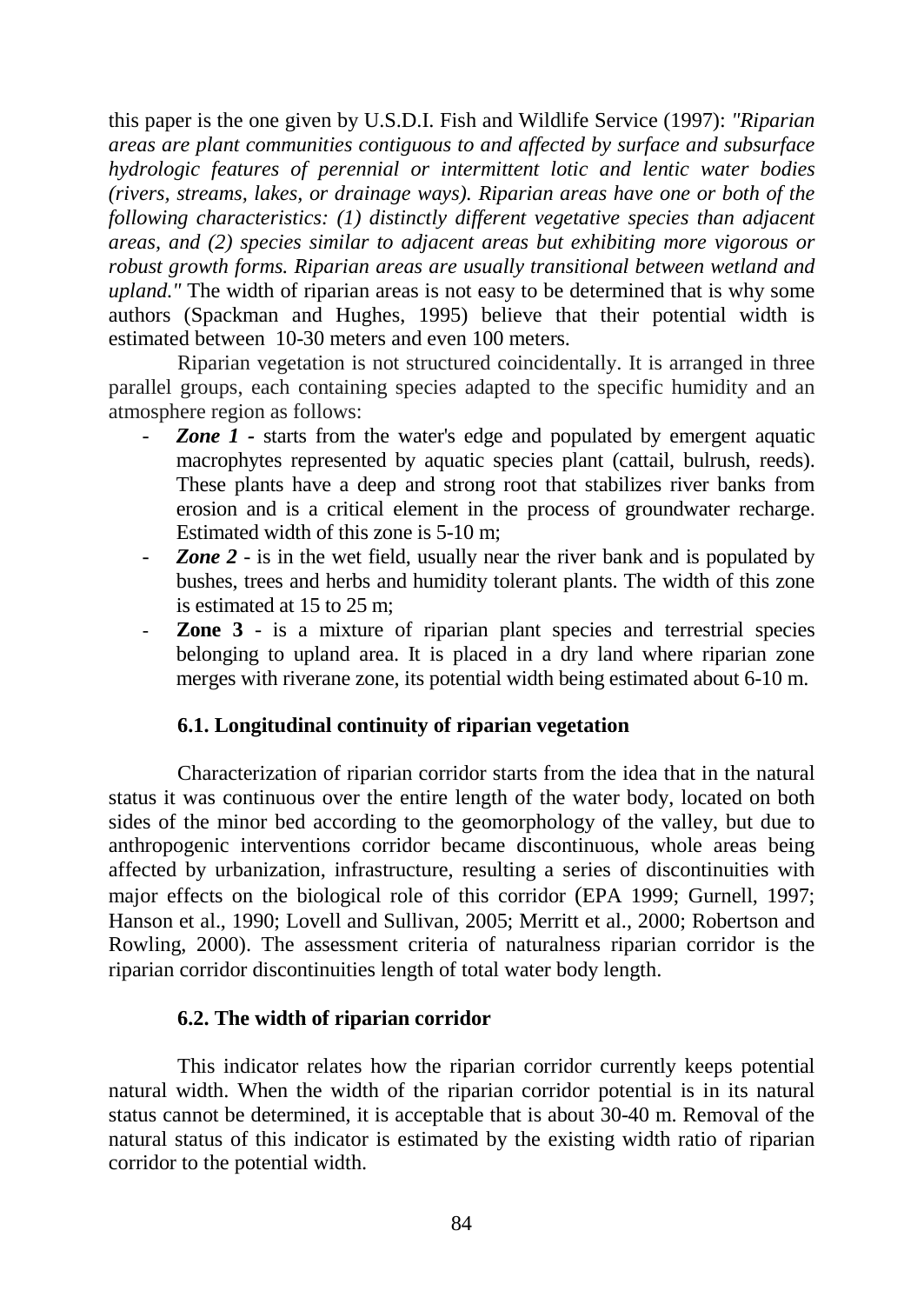this paper is the one given by U.S.D.I. Fish and Wildlife Service (1997): *"Riparian areas are plant communities contiguous to and affected by surface and subsurface hydrologic features of perennial or intermittent lotic and lentic water bodies (rivers, streams, lakes, or drainage ways). Riparian areas have one or both of the following characteristics: (1) distinctly different vegetative species than adjacent areas, and (2) species similar to adjacent areas but exhibiting more vigorous or robust growth forms. Riparian areas are usually transitional between wetland and upland."* The width of riparian areas is not easy to be determined that is why some authors (Spackman and Hughes, 1995) believe that their potential width is estimated between 10-30 meters and even 100 meters.

Riparian vegetation is not structured coincidentally. It is arranged in three parallel groups, each containing species adapted to the specific humidity and an atmosphere region as follows:

- **Zone 1 -** starts from the water's edge and populated by emergent aquatic macrophytes represented by aquatic species plant (cattail, bulrush, reeds). These plants have a deep and strong root that stabilizes river banks from erosion and is a critical element in the process of groundwater recharge. Estimated width of this zone is 5-10 m;
- *Zone 2* is in the wet field, usually near the river bank and is populated by bushes, trees and herbs and humidity tolerant plants. The width of this zone is estimated at 15 to 25 m;
- **Zone 3** is a mixture of riparian plant species and terrestrial species belonging to upland area. It is placed in a dry land where riparian zone merges with riverane zone, its potential width being estimated about 6-10 m.

### **6.1. Longitudinal continuity of riparian vegetation**

Characterization of riparian corridor starts from the idea that in the natural status it was continuous over the entire length of the water body, located on both sides of the minor bed according to the geomorphology of the valley, but due to anthropogenic interventions corridor became discontinuous, whole areas being affected by urbanization, infrastructure, resulting a series of discontinuities with major effects on the biological role of this corridor (EPA 1999; Gurnell, 1997; Hanson et al., 1990; Lovell and Sullivan, 2005; Merritt et al., 2000; Robertson and Rowling, 2000). The assessment criteria of naturalness riparian corridor is the riparian corridor discontinuities length of total water body length.

### **6.2. The width of riparian corridor**

This indicator relates how the riparian corridor currently keeps potential natural width. When the width of the riparian corridor potential is in its natural status cannot be determined, it is acceptable that is about 30-40 m. Removal of the natural status of this indicator is estimated by the existing width ratio of riparian corridor to the potential width.